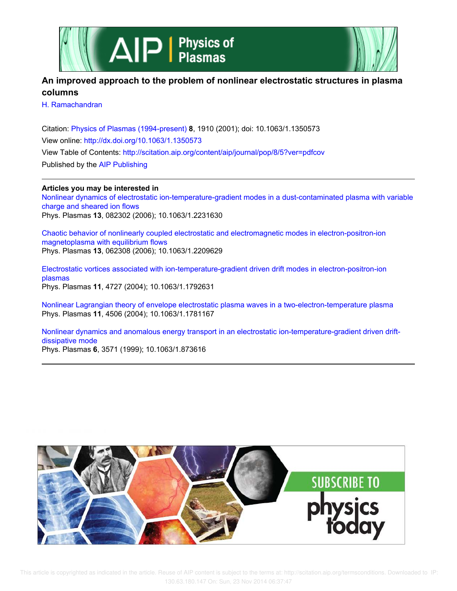



# **An improved approach to the problem of nonlinear electrostatic structures in plasma columns**

H. Ramachandran

Citation: Physics of Plasmas (1994-present) **8**, 1910 (2001); doi: 10.1063/1.1350573 View online: http://dx.doi.org/10.1063/1.1350573 View Table of Contents: http://scitation.aip.org/content/aip/journal/pop/8/5?ver=pdfcov Published by the AIP Publishing

# **Articles you may be interested in**

Nonlinear dynamics of electrostatic ion-temperature-gradient modes in a dust-contaminated plasma with variable charge and sheared ion flows Phys. Plasmas **13**, 082302 (2006); 10.1063/1.2231630

Chaotic behavior of nonlinearly coupled electrostatic and electromagnetic modes in electron-positron-ion magnetoplasma with equilibrium flows Phys. Plasmas **13**, 062308 (2006); 10.1063/1.2209629

Electrostatic vortices associated with ion-temperature-gradient driven drift modes in electron-positron-ion plasmas Phys. Plasmas **11**, 4727 (2004); 10.1063/1.1792631

Nonlinear Lagrangian theory of envelope electrostatic plasma waves in a two-electron-temperature plasma Phys. Plasmas **11**, 4506 (2004); 10.1063/1.1781167

Nonlinear dynamics and anomalous energy transport in an electrostatic ion-temperature-gradient driven driftdissipative mode Phys. Plasmas **6**, 3571 (1999); 10.1063/1.873616

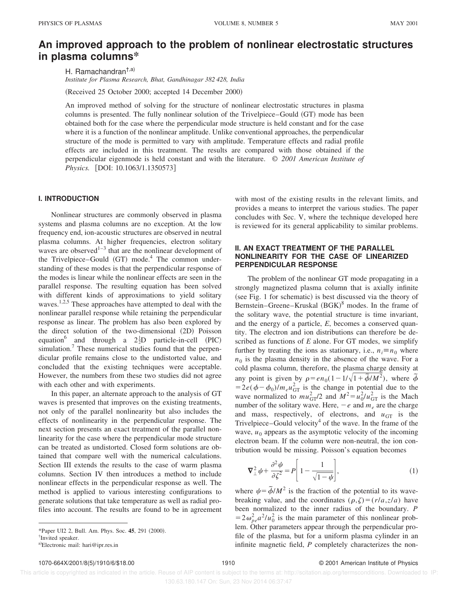# **An improved approach to the problem of nonlinear electrostatic structures in plasma columns\***

H. Ramachandran<sup>†,a)</sup> *Institute for Plasma Research, Bhat, Gandhinagar 382 428, India*

(Received 25 October 2000; accepted 14 December 2000)

An improved method of solving for the structure of nonlinear electrostatic structures in plasma columns is presented. The fully nonlinear solution of the Trivelpiece–Gould (GT) mode has been obtained both for the case where the perpendicular mode structure is held constant and for the case where it is a function of the nonlinear amplitude. Unlike conventional approaches, the perpendicular structure of the mode is permitted to vary with amplitude. Temperature effects and radial profile effects are included in this treatment. The results are compared with those obtained if the perpendicular eigenmode is held constant and with the literature. © *2001 American Institute of Physics.* [DOI: 10.1063/1.1350573]

### **I. INTRODUCTION**

Nonlinear structures are commonly observed in plasma systems and plasma columns are no exception. At the low frequency end, ion-acoustic structures are observed in neutral plasma columns. At higher frequencies, electron solitary waves are observed<sup>1-3</sup> that are the nonlinear development of the Trivelpiece–Gould  $(GT)$  mode.<sup>4</sup> The common understanding of these modes is that the perpendicular response of the modes is linear while the nonlinear effects are seen in the parallel response. The resulting equation has been solved with different kinds of approximations to yield solitary waves.<sup>1,2,5</sup> These approaches have attempted to deal with the nonlinear parallel response while retaining the perpendicular response as linear. The problem has also been explored by the direct solution of the two-dimensional (2D) Poisson equation<sup>6</sup> and through a  $2\frac{1}{2}D$  particle-in-cell (PIC) simulation.<sup>7</sup> These numerical studies found that the perpendicular profile remains close to the undistorted value, and concluded that the existing techniques were acceptable. However, the numbers from these two studies did not agree with each other and with experiments.

In this paper, an alternate approach to the analysis of GT waves is presented that improves on the existing treatments, not only of the parallel nonlinearity but also includes the effects of nonlinearity in the perpendicular response. The next section presents an exact treatment of the parallel nonlinearity for the case where the perpendicular mode structure can be treated as undistorted. Closed form solutions are obtained that compare well with the numerical calculations. Section III extends the results to the case of warm plasma columns. Section IV then introduces a method to include nonlinear effects in the perpendicular response as well. The method is applied to various interesting configurations to generate solutions that take temperature as well as radial profiles into account. The results are found to be in agreement with most of the existing results in the relevant limits, and provides a means to interpret the various studies. The paper concludes with Sec. V, where the technique developed here is reviewed for its general applicability to similar problems.

# **II. AN EXACT TREATMENT OF THE PARALLEL NONLINEARITY FOR THE CASE OF LINEARIZED PERPENDICULAR RESPONSE**

The problem of the nonlinear GT mode propagating in a strongly magnetized plasma column that is axially infinite  $(see Fig. 1 for schematic)$  is best discussed via the theory of Bernstein–Greene–Kruskal  $(BGK)^8$  modes. In the frame of the solitary wave, the potential structure is time invariant, and the energy of a particle, *E*, becomes a conserved quantity. The electron and ion distributions can therefore be described as functions of *E* alone. For GT modes, we simplify further by treating the ions as stationary, i.e.,  $n_i \equiv n_0$  where  $n_0$  is the plasma density in the absence of the wave. For a cold plasma column, therefore, the plasma charge density at any point is given by  $\rho = en_0(1 - 1/\sqrt{1 + \tilde{\phi}/M^2})$ , where  $\tilde{\phi}$  $=2e(\phi-\phi_0)/m_e u_{\text{GT}}^2$  is the change in potential due to the wave normalized to  $mu_{GT}^2/2$  and  $M^2 = u_0^2/u_{GT}^2$  is the Mach number of the solitary wave. Here,  $-e$  and  $m_e$  are the charge and mass, respectively, of electrons, and  $u_{GT}$  is the Trivelpiece–Gould velocity<sup>4</sup> of the wave. In the frame of the wave,  $u_0$  appears as the asymptotic velocity of the incoming electron beam. If the column were non-neutral, the ion contribution would be missing. Poisson's equation becomes

$$
\nabla_{\perp}^{2} \psi + \frac{\partial^{2} \psi}{\partial \zeta^{2}} = P \left[ 1 - \frac{1}{\sqrt{1 - \psi}} \right],
$$
 (1)

where  $\psi = \tilde{\phi}/M^2$  is the fraction of the potential to its wavebreaking value, and the coordinates  $(\rho, \zeta) = (r/a, z/a)$  have been normalized to the inner radius of the boundary. *P*  $=2\omega_{pe}^2a^2/u_0^2$  is the main parameter of this nonlinear problem. Other parameters appear through the perpendicular profile of the plasma, but for a uniform plasma cylinder in an infinite magnetic field, *P* completely characterizes the non-

<sup>\*</sup>Paper UI2 2, Bull. Am. Phys. Soc. 45, 291 (2000).

<sup>†</sup> Invited speaker.

a)Electronic mail: hari@ipr.res.in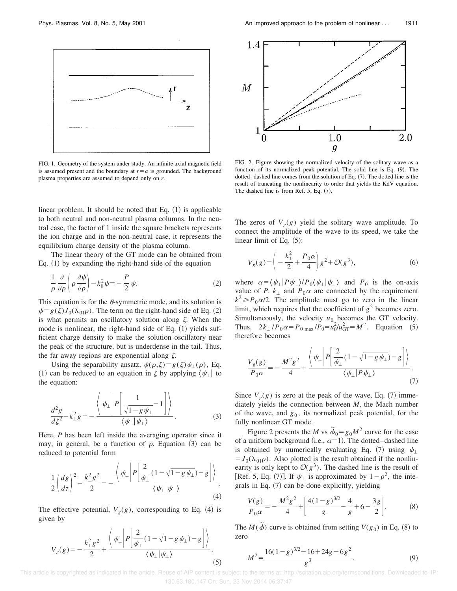

FIG. 1. Geometry of the system under study. An infinite axial magnetic field is assumed present and the boundary at  $r=a$  is grounded. The background plasma properties are assumed to depend only on *r*.

linear problem. It should be noted that Eq.  $(1)$  is applicable to both neutral and non-neutral plasma columns. In the neutral case, the factor of 1 inside the square brackets represents the ion charge and in the non-neutral case, it represents the equilibrium charge density of the plasma column.

The linear theory of the GT mode can be obtained from Eq.  $(1)$  by expanding the right-hand side of the equation

$$
\frac{1}{\rho} \frac{\partial}{\partial \rho} \left( \rho \frac{\partial \psi}{\partial \rho} \right) - k_{\parallel}^2 \psi = -\frac{P}{2} \psi.
$$
 (2)

This equation is for the  $\theta$ -symmetric mode, and its solution is  $\psi = g(\zeta)J_0(\lambda_{01}\rho)$ . The term on the right-hand side of Eq. (2) is what permits an oscillatory solution along  $\zeta$ . When the mode is nonlinear, the right-hand side of Eq.  $(1)$  yields sufficient charge density to make the solution oscillatory near the peak of the structure, but is underdense in the tail. Thus, the far away regions are exponential along  $\zeta$ .

Using the separability ansatz,  $\psi(\rho,\zeta)=g(\zeta)\psi_{\perp}(\rho)$ , Eq. (1) can be reduced to an equation in  $\zeta$  by applying  $\langle \psi_{\perp} |$  to the equation:

$$
\frac{d^2g}{d\xi^2} - k_\perp^2 g = -\frac{\left\langle \psi_\perp \middle| P \middle| \frac{1}{\sqrt{1 - g \psi_\perp}} - 1 \middle| \right\rangle}{\left\langle \psi_\perp \middle| \psi_\perp \right\rangle}.
$$
\n(3)

Here, *P* has been left inside the averaging operator since it may, in general, be a function of  $\rho$ . Equation (3) can be reduced to potential form

$$
\frac{1}{2}\left(\frac{dg}{dz}\right)^2 - \frac{k_\perp^2 g^2}{2} = -\frac{\left\langle \psi_\perp \left| P \left| \frac{2}{\psi_\perp} (1 - \sqrt{1 - g \psi_\perp}) - g \right| \right\rangle}{\left\langle \psi_\perp \left| \psi_\perp \right\rangle \right.} \right). \tag{4}
$$

The effective potential,  $V_g(g)$ , corresponding to Eq. (4) is given by

$$
V_g(g) = -\frac{k_{\perp}^2 g^2}{2} + \frac{\left\langle \psi_{\perp} \left| P \left[ \frac{2}{\psi_{\perp}} (1 - \sqrt{1 - g \psi_{\perp}}) - g \right] \right\rangle}{\left\langle \psi_{\perp} \right| \psi_{\perp} \right\rangle}.
$$
\n(5)



FIG. 2. Figure showing the normalized velocity of the solitary wave as a function of its normalized peak potential. The solid line is Eq.  $(9)$ . The dotted–dashed line comes from the solution of Eq. (7). The dotted line is the result of truncating the nonlinearity to order that yields the KdV equation. The dashed line is from Ref.  $5$ , Eq.  $(7)$ .

The zeros of  $V_g(g)$  yield the solitary wave amplitude. To connect the amplitude of the wave to its speed, we take the linear limit of Eq.  $(5)$ :

$$
V_g(g) = \left(-\frac{k_{\perp}^2}{2} + \frac{P_0 \alpha}{4}\right)g^2 + \mathcal{O}(g^3),\tag{6}
$$

where  $\alpha = \langle \psi_{\perp} | P \psi_{\perp} \rangle / P_0 \langle \psi_{\perp} | \psi_{\perp} \rangle$  and  $P_0$  is the on-axis value of *P*.  $k_{\perp}$  and  $P_0\alpha$  are connected by the requirement  $k_{\perp}^2 \ge P_0 \alpha/2$ . The amplitude must go to zero in the linear limit, which requires that the coefficient of  $g^2$  becomes zero. Simultaneously, the velocity  $u_0$  becomes the GT velocity. Thus,  $2k_{\perp}$  /*P*<sub>0</sub>  $\alpha = P_{0 \text{ max}}$  /*P*<sub>0</sub> $= u_0^2/u_{\text{GT}}^2 = M^2$ . Equation (5) therefore becomes

$$
\frac{V_g(g)}{P_0 \alpha} = -\frac{M^2 g^2}{4} + \frac{\left\langle \psi_\perp \left| P \left[ \frac{2}{\psi_\perp} (1 - \sqrt{1 - g \psi_\perp}) - g \right] \right\rangle}{\left\langle \psi_\perp \right| P \psi_\perp \right\rangle}.
$$
\n(7)

Since  $V_g(g)$  is zero at the peak of the wave, Eq. (7) immediately yields the connection between *M*, the Mach number of the wave, and  $g_0$ , its normalized peak potential, for the fully nonlinear GT mode.

Figure 2 presents the *M* vs  $\tilde{\phi}_0 = g_0 M^2$  curve for the case of a uniform background (i.e.,  $\alpha=1$ ). The dotted–dashed line is obtained by numerically evaluating Eq. (7) using  $\psi_{\perp}$  $=J_0(\lambda_{01}\rho)$ . Also plotted is the result obtained if the nonlinearity is only kept to  $O(g^3)$ . The dashed line is the result of [Ref. 5, Eq. (7)]. If  $\psi_{\perp}$  is approximated by  $1-\rho^2$ , the integrals in Eq.  $(7)$  can be done explicitly, yielding

$$
\frac{V(g)}{P_0 \alpha} = -\frac{M^2 g^2}{4} + \left[ \frac{4(1-g)^{3/2}}{g} - \frac{4}{g} + 6 - \frac{3g}{2} \right].
$$
 (8)

The  $M(\tilde{\phi})$  curve is obtained from setting  $V(g_0)$  in Eq. (8) to zero

$$
M^{2} = \frac{16(1-g)^{3/2} - 16 + 24g - 6g^{2}}{g^{3}}.
$$
 (9)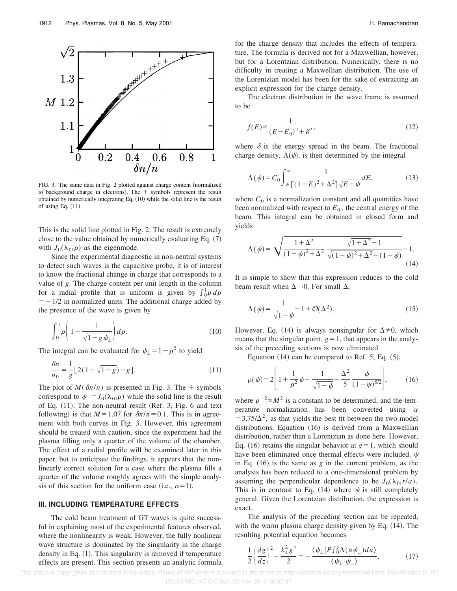

FIG. 3. The same data in Fig. 2 plotted against charge content (normalized to background charge in electrons). The  $+$  symbols represent the result obtained by numerically integrating Eq.  $(10)$  while the solid line is the result of using Eq.  $(11)$ .

This is the solid line plotted in Fig. 2. The result is extremely close to the value obtained by numerically evaluating Eq.  $(7)$ with  $J_0(\lambda_{01}\rho)$  as the eigenmode.

Since the experimental diagnostic in non-neutral systems to detect such waves is the capacitive probe, it is of interest to know the fractional change in charge that corresponds to a value of *g*. The charge content per unit length in the column for a radial profile that is uniform is given by  $\int_0^1 \rho \, d\rho$  $=$  -1/2 in normalized units. The additional charge added by the presence of the wave is given by

$$
\int_0^1 \rho \left( 1 - \frac{1}{\sqrt{1 - g \psi_{\perp}}} \right) d\rho. \tag{10}
$$

The integral can be evaluated for  $\psi_{\perp} = 1 - \rho^2$  to yield

$$
\frac{\delta n}{n_0} = \frac{1}{g} [2(1 - \sqrt{1 - g}) - g].
$$
\n(11)

The plot of  $M(\delta n/n)$  is presented in Fig. 3. The  $+$  symbols correspond to  $\psi_{\perp} = J_0(\lambda_{01}\rho)$  while the solid line is the result of Eq.  $(11)$ . The non-neutral result (Ref. 3, Fig. 6 and text following) is that  $M=1.07$  for  $\delta n/n=0.1$ . This is in agreement with both curves in Fig. 3. However, this agreement should be treated with caution, since the experiment had the plasma filling only a quarter of the volume of the chamber. The effect of a radial profile will be examined later in this paper, but to anticipate the findings, it appears that the nonlinearly correct solution for a case where the plasma fills a quarter of the volume roughly agrees with the simple analysis of this section for the uniform case (i.e.,  $\alpha=1$ ).

# **III. INCLUDING TEMPERATURE EFFECTS**

The cold beam treatment of GT waves is quite successful in explaining most of the experimental features observed, where the nonlinearity is weak. However, the fully nonlinear wave structure is dominated by the singularity in the charge density in Eq.  $(1)$ . This singularity is removed if temperature effects are present. This section presents an analytic formula for the charge density that includes the effects of temperature. The formula is derived not for a Maxwellian, however, but for a Lorentzian distribution. Numerically, there is no difficulty in treating a Maxwellian distribution. The use of the Lorentzian model has been for the sake of extracting an explicit expression for the charge density.

The electron distribution in the wave frame is assumed to be

$$
f(E) \propto \frac{1}{(E - E_0)^2 + \delta^2},\tag{12}
$$

where  $\delta$  is the energy spread in the beam. The fractional charge density,  $\Lambda(\psi)$ , is then determined by the integral

$$
\Lambda(\psi) = C_0 \int_{\psi}^{\infty} \frac{1}{\left[ (1 - E)^2 + \Delta^2 \right] \sqrt{E - \psi}} dE,\tag{13}
$$

where  $C_0$  is a normalization constant and all quantities have been normalized with respect to  $E_0$ , the central energy of the beam. This integral can be obtained in closed form and yields

$$
\Lambda(\psi) = \sqrt{\frac{1+\Delta^2}{(1-\psi)^2 + \Delta^2} \frac{\sqrt{1+\Delta^2}-1}{\sqrt{(1-\psi)^2 + \Delta^2} - (1-\psi)}} - 1.
$$
\n(14)

It is simple to show that this expression reduces to the cold beam result when  $\Delta \rightarrow 0$ . For small  $\Delta$ ,

$$
\Lambda(\psi) = \frac{1}{\sqrt{1-\psi}} - 1 + \mathcal{O}(\Delta^2). \tag{15}
$$

However, Eq. (14) is always nonsingular for  $\Delta \neq 0$ , which means that the singular point,  $g=1$ , that appears in the analysis of the preceding sections is now eliminated.

Equation  $(14)$  can be compared to Ref. 5, Eq.  $(5)$ ,

$$
\rho(\psi) = 2 \left[ 1 + \frac{1}{\rho^2} \psi - \frac{1}{\sqrt{1 - \psi}} - \frac{\Delta^2}{5} \frac{\psi}{(1 - \psi)^{5/2}} \right],\tag{16}
$$

where  $\rho^{-2} \propto M^2$  is a constant to be determined, and the temperature normalization has been converted using  $\alpha$  $=3.75/\Delta^2$ , as that yields the best fit between the two model distributions. Equation  $(16)$  is derived from a Maxwellian distribution, rather than a Lorentzian as done here. However, Eq. (16) retains the singular behavior at  $g=1$ , which should have been eliminated once thermal effects were included.  $\psi$ in Eq.  $(16)$  is the same as  $g$  in the current problem, as the analysis has been reduced to a one-dimensional problem by assuming the perpendicular dependence to be  $J_0(\lambda_{01}r/a)$ . This is in contrast to Eq. (14) where  $\psi$  is still completely general. Given the Lorentzian distribution, the expression is exact.

The analysis of the preceding section can be repeated, with the warm plasma charge density given by Eq.  $(14)$ . The resulting potential equation becomes

$$
\frac{1}{2}\left(\frac{dg}{dz}\right)^2 - \frac{k_\perp^2 g^2}{2} = -\frac{\langle\psi_\perp|P\int_0^g \Lambda(u\psi_\perp)du\rangle}{\langle\psi_\perp|\psi_\perp\rangle}.
$$
 (17)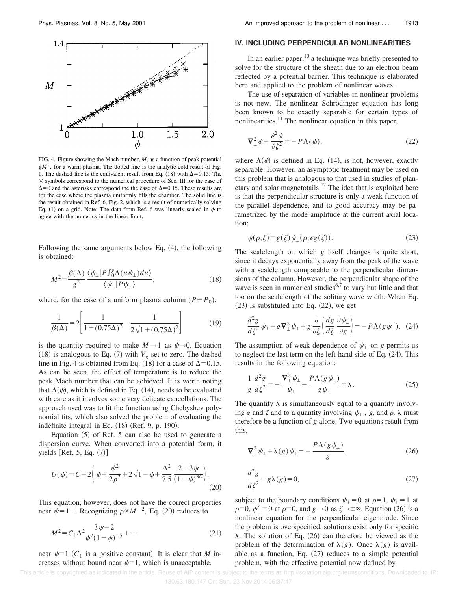

FIG. 4. Figure showing the Mach number, *M*, as a function of peak potential  $gM<sup>2</sup>$ , for a warm plasma. The dotted line is the analytic cold result of Fig. 1. The dashed line is the equivalent result from Eq. (18) with  $\Delta=0.15$ . The  $\times$  symbols correspond to the numerical procedure of Sec. III for the case of  $\Delta$ =0 and the asterisks correspond the the case of  $\Delta$ =0.15. These results are for the case where the plasma uniformly fills the chamber. The solid line is the result obtained in Ref. 6, Fig. 2, which is a result of numerically solving Eq. (1) on a grid. Note: The data from Ref. 6 was linearly scaled in  $\phi$  to agree with the numerics in the linear limit.

Following the same arguments below Eq.  $(4)$ , the following is obtained:

$$
M^{2} = \frac{\beta(\Delta)}{g^{2}} \frac{\langle \psi_{\perp} | P \int_{0}^{g} \Lambda(u \psi_{\perp}) du \rangle}{\langle \psi_{\perp} | P \psi_{\perp} \rangle}, \qquad (18)
$$

where, for the case of a uniform plasma column ( $P = P_0$ ),

$$
\frac{1}{\beta(\Delta)} = 2 \left[ \frac{1}{1 + (0.75\Delta)^2} - \frac{1}{2\sqrt{1 + (0.75\Delta)^2}} \right]
$$
(19)

is the quantity required to make  $M \rightarrow 1$  as  $\psi \rightarrow 0$ . Equation (18) is analogous to Eq. (7) with  $V_g$  set to zero. The dashed line in Fig. 4 is obtained from Eq. (18) for a case of  $\Delta$ =0.15. As can be seen, the effect of temperature is to reduce the peak Mach number that can be achieved. It is worth noting that  $\Lambda(\psi)$ , which is defined in Eq. (14), needs to be evaluated with care as it involves some very delicate cancellations. The approach used was to fit the function using Chebyshev polynomial fits, which also solved the problem of evaluating the indefinite integral in Eq.  $(18)$  (Ref. 9, p. 190).

Equation  $(5)$  of Ref. 5 can also be used to generate a dispersion curve. When converted into a potential form, it yields  $[Ref. 5, Eq. (7)]$ 

$$
U(\psi) = C - 2\left(\psi + \frac{\psi^2}{2\rho^2} + 2\sqrt{1 - \psi} + \frac{\Delta^2}{7.5} \frac{2 - 3\psi}{(1 - \psi)^{3/2}}\right).
$$
\n(20)

This equation, however, does not have the correct properties near  $\psi$ =1<sup>-</sup>. Recognizing  $\rho \propto M^{-2}$ , Eq. (20) reduces to

$$
M^{2} = C_{1} \Delta^{2} \frac{3 \psi - 2}{\psi^{2} (1 - \psi)^{1.5}} + \cdots
$$
 (21)

near  $\psi=1$  ( $C_1$  is a positive constant). It is clear that *M* increases without bound near  $\psi=1$ , which is unacceptable.

#### **IV. INCLUDING PERPENDICULAR NONLINEARITIES**

In an earlier paper, $10$  a technique was briefly presented to solve for the structure of the sheath due to an electron beam reflected by a potential barrier. This technique is elaborated here and applied to the problem of nonlinear waves.

The use of separation of variables in nonlinear problems is not new. The nonlinear Schrödinger equation has long been known to be exactly separable for certain types of nonlinearities.<sup>11</sup> The nonlinear equation in this paper,

$$
\nabla_{\perp}^{2} \psi + \frac{\partial^{2} \psi}{\partial \zeta^{2}} = -P \Lambda(\psi), \qquad (22)
$$

where  $\Lambda(\psi)$  is defined in Eq. (14), is not, however, exactly separable. However, an asymptotic treatment may be used on this problem that is analogous to that used in studies of planetary and solar magnetotails.<sup>12</sup> The idea that is exploited here is that the perpendicular structure is only a weak function of the parallel dependence, and to good accuracy may be parametrized by the mode amplitude at the current axial location:

$$
\psi(\rho,\zeta) = g(\zeta)\psi_{\perp}(\rho,\epsilon g(\zeta)).\tag{23}
$$

The scalelength on which *g* itself changes is quite short, since it decays exponentially away from the peak of the wave with a scalelength comparable to the perpendicular dimensions of the column. However, the perpendicular shape of the wave is seen in numerical studies<sup>6,7</sup> to vary but little and that too on the scalelength of the solitary wave width. When Eq.  $(23)$  is substituted into Eq.  $(22)$ , we get

$$
\frac{d^2g}{d\xi^2}\psi_{\perp} + g\nabla_{\perp}^2\psi_{\perp} + g\frac{\partial}{\partial\xi}\left(\frac{dg}{d\xi}\frac{\partial\psi_{\perp}}{\partial g}\right) = -P\Lambda(g\psi_{\perp}). \tag{24}
$$

The assumption of weak dependence of  $\psi_{\perp}$  on *g* permits us to neglect the last term on the left-hand side of Eq.  $(24)$ . This results in the following equation:

$$
\frac{1}{g}\frac{d^2g}{d\zeta^2} = -\frac{\nabla_\perp^2 \psi_\perp}{\psi_\perp} - \frac{P\Lambda(g\psi_\perp)}{g\psi_\perp} = \lambda.
$$
\n(25)

The quantity  $\lambda$  is simultaneously equal to a quantity involving *g* and  $\zeta$  and to a quantity involving  $\psi_+$ , *g*, and  $\rho$ .  $\lambda$  must therefore be a function of *g* alone. Two equations result from this,

$$
\nabla_{\perp}^{2} \psi_{\perp} + \lambda(g) \psi_{\perp} = -\frac{P \Lambda(g \psi_{\perp})}{g}, \qquad (26)
$$

$$
\frac{d^2g}{d\xi^2} - g\lambda(g) = 0,\tag{27}
$$

subject to the boundary conditions  $\psi_{\perp}=0$  at  $\rho=1$ ,  $\psi_{\perp}=1$  at  $\rho=0$ ,  $\psi_1'=0$  at  $\rho=0$ , and  $g\rightarrow 0$  as  $\zeta\rightarrow \pm\infty$ . Equation (26) is a nonlinear equation for the perpendicular eigenmode. Since the problem is overspecified, solutions exist only for specific  $\lambda$ . The solution of Eq. (26) can therefore be viewed as the problem of the determination of  $\lambda(g)$ . Once  $\lambda(g)$  is available as a function, Eq.  $(27)$  reduces to a simple potential problem, with the effective potential now defined by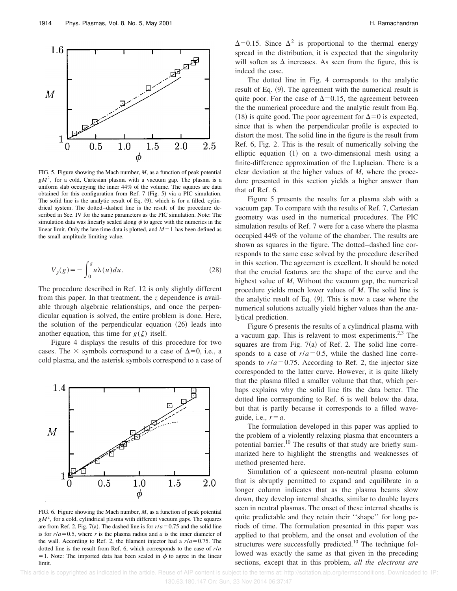

FIG. 5. Figure showing the Mach number, *M*, as a function of peak potential  $gM<sup>2</sup>$ , for a cold, Cartesian plasma with a vacuum gap. The plasma is a uniform slab occupying the inner 44% of the volume. The squares are data obtained for this configuration from Ref.  $7$  (Fig. 5) via a PIC simulation. The solid line is the analytic result of Eq.  $(9)$ , which is for a filled, cylindrical system. The dotted–dashed line is the result of the procedure described in Sec. IV for the same parameters as the PIC simulation. Note: The simulation data was linearly scaled along  $\phi$  to agree with the numerics in the linear limit. Only the late time data is plotted, and  $M=1$  has been defined as the small amplitude limiting value.

$$
V_g(g) = -\int_0^g u\lambda(u)du.
$$
 (28)

The procedure described in Ref. 12 is only slightly different from this paper. In that treatment, the *z* dependence is available through algebraic relationships, and once the perpendicular equation is solved, the entire problem is done. Here, the solution of the perpendicular equation  $(26)$  leads into another equation, this time for  $g(\zeta)$  itself.

Figure 4 displays the results of this procedure for two cases. The  $\times$  symbols correspond to a case of  $\Delta=0$ , i.e., a cold plasma, and the asterisk symbols correspond to a case of



FIG. 6. Figure showing the Mach number, *M*, as a function of peak potential  $gM<sup>2</sup>$ , for a cold, cylindrical plasma with different vacuum gaps. The squares are from Ref. 2, Fig. 7(a). The dashed line is for  $r/a = 0.75$  and the solid line is for  $r/a = 0.5$ , where *r* is the plasma radius and *a* is the inner diameter of the wall. According to Ref. 2, the filament injector had a  $r/a = 0.75$ . The dotted line is the result from Ref. 6, which corresponds to the case of *r*/*a* = 1. Note: The imported data has been scaled in  $\phi$  to agree in the linear limit.

 $\Delta$ =0.15. Since  $\Delta^2$  is proportional to the thermal energy spread in the distribution, it is expected that the singularity will soften as  $\Delta$  increases. As seen from the figure, this is indeed the case.

The dotted line in Fig. 4 corresponds to the analytic result of Eq.  $(9)$ . The agreement with the numerical result is quite poor. For the case of  $\Delta=0.15$ , the agreement between the the numerical procedure and the analytic result from Eq. (18) is quite good. The poor agreement for  $\Delta=0$  is expected, since that is when the perpendicular profile is expected to distort the most. The solid line in the figure is the result from Ref. 6, Fig. 2. This is the result of numerically solving the elliptic equation  $(1)$  on a two-dimensional mesh using a finite-difference approximation of the Laplacian. There is a clear deviation at the higher values of *M*, where the procedure presented in this section yields a higher answer than that of Ref. 6.

Figure 5 presents the results for a plasma slab with a vacuum gap. To compare with the results of Ref. 7, Cartesian geometry was used in the numerical procedures. The PIC simulation results of Ref. 7 were for a case where the plasma occupied 44% of the volume of the chamber. The results are shown as squares in the figure. The dotted–dashed line corresponds to the same case solved by the procedure described in this section. The agreement is excellent. It should be noted that the crucial features are the shape of the curve and the highest value of *M*, Without the vacuum gap, the numerical procedure yields much lower values of *M*. The solid line is the analytic result of Eq.  $(9)$ . This is now a case where the numerical solutions actually yield higher values than the analytical prediction.

Figure 6 presents the results of a cylindrical plasma with a vacuum gap. This is relavent to most experiments. $2,3$  The squares are from Fig.  $7(a)$  of Ref. 2. The solid line corresponds to a case of  $r/a = 0.5$ , while the dashed line corresponds to  $r/a = 0.75$ . According to Ref. 2, the injector size corresponded to the latter curve. However, it is quite likely that the plasma filled a smaller volume that that, which perhaps explains why the solid line fits the data better. The dotted line corresponding to Ref. 6 is well below the data, but that is partly because it corresponds to a filled waveguide, i.e.,  $r=a$ .

The formulation developed in this paper was applied to the problem of a violently relaxing plasma that encounters a potential barrier.<sup>10</sup> The results of that study are briefly summarized here to highlight the strengths and weaknesses of method presented here.

Simulation of a quiescent non-neutral plasma column that is abruptly permitted to expand and equilibrate in a longer column indicates that as the plasma beams slow down, they develop internal sheaths, similar to double layers seen in neutral plasmas. The onset of these internal sheaths is quite predictable and they retain their ''shape'' for long periods of time. The formulation presented in this paper was applied to that problem, and the onset and evolution of the structures were successfully predicted.<sup>10</sup> The technique followed was exactly the same as that given in the preceding sections, except that in this problem, *all the electrons are*